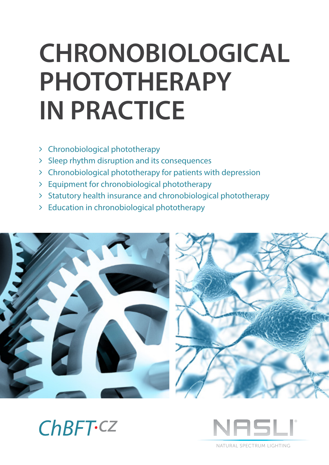# **CHRONOBIOLOGICAL PHOTOTHERAPY IN PRACTICE**

- Chronobiological phototherapy
- > Sleep rhythm disruption and its consequences
- Chronobiological phototherapy for patients with depression
- Equipment for chronobiological phototherapy
- > Statutory health insurance and chronobiological phototherapy
- Education in chronobiological phototherapy







NATURAL SPECTRUM LIGHTING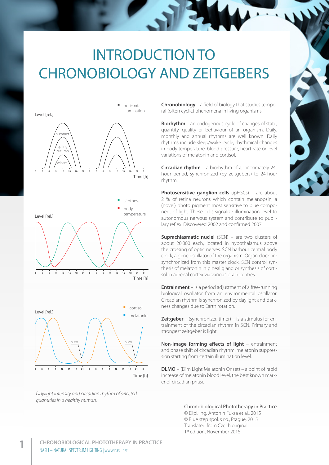# INTRODUCTION TO CHRONOBIOLOGY AND ZEITGEBERS



*Daylight intensity and circadian rhythm of selected quantities in a healthy human.*

**Chronobiology** – a field of biology that studies temporal (often cyclic) phenomena in living organisms.

**Biorhythm** – an endogenous cycle of changes of state, quantity, quality or behaviour of an organism. Daily, monthly and annual rhythms are well known. Daily rhythms include sleep/wake cycle, rhythmical changes in body temperature, blood pressure, heart rate or level variations of melatonin and cortisol.

**Circadian rhythm** – a biorhythm of approximately 24 hour period, synchronized (by zeitgebers) to 24-hour rhythm.

**Photosensitive ganglion cells** (ipRGCs) – are about 2 % of retina neurons which contain melanopsin, a (novel) photo pigment most sensitive to blue component of light. These cells signalize illumination level to autonomous nervous system and contribute to pupillary reflex. Discovered 2002 and confirmed 2007.

**Suprachiasmatic nuclei** (SCN) – are two clusters of about 20,000 each, located in hypothalamus above the crossing of optic nerves. SCN harbour central body clock, a gene oscillator of the organism. Organ clock are synchronized from this master clock. SCN control synthesis of melatonin in pineal gland or synthesis of cortisol in adrenal cortex via various brain centres.

**Entrainment** – is a period adjustment of a free-running biological oscillator from an environmental oscillator. Circadian rhythm is synchronized by daylight and darkness changes due to Earth rotation.

**Zeitgeber** – (synchronizer, timer) – is a stimulus for entrainment of the circadian rhythm in SCN. Primary and strongest zeitgeber is light.

**Non-image forming effects of light** – entrainment and phase shift of circadian rhythm, melatonin suppression starting from certain illumination level.

**DLMO** – (Dim Light Melatonin Onset) – a point of rapid increase of melatonin blood level, the best known marker of circadian phase.

Chronobiological Phototherapy in Practice

© Dipl. Ing. Antonín Fuksa et al., 2015 © Blue step spol. s r.o., Prague, 2015 Translated from Czech original 1st edition, November 2015

$$
\sum_{i=1}^{n} \frac{1}{i}
$$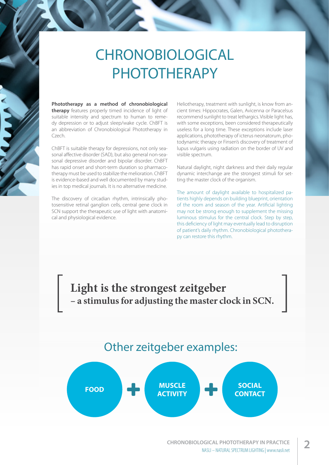# CHRONOBIOLOGICAL PHOTOTHERAPY

**Phototherapy as a method of chronobiological therapy** features properly timed incidence of light of suitable intensity and spectrum to human to remedy depression or to adjust sleep/wake cycle. ChBFT is an abbreviation of Chronobiological Phototherapy in Czech.

ChBFT is suitable therapy for depressions, not only seasonal affective disorder (SAD), but also general non-seasonal depressive disorder and bipolar disorder. ChBFT has rapid onset and short-term duration so pharmacotherapy must be used to stabilize the melioration. ChBFT is evidence-based and well documented by many studies in top medical journals. It is no alternative medicine.

The discovery of circadian rhythm, intrinsically photosensitive retinal ganglion cells, central gene clock in SCN support the therapeutic use of light with anatomical and physiological evidence.

Heliotherapy, treatment with sunlight, is know from ancient times: Hippocrates, Galen, Avicenna or Paracelsus recommend sunlight to treat lethargics. Visible light has, with some exceptions, been considered therapeutically useless for a long time. These exceptions include laser applications, phototherapy of icterus neonatorum, photodynamic therapy or Finsen's discovery of treatment of lupus vulgaris using radiation on the border of UV and visible spectrum.

Natural daylight, night darkness and their daily regular dynamic interchange are the strongest stimuli for setting the master clock of the organism.

The amount of daylight available to hospitalized patients highly depends on building blueprint, orientation of the room and season of the year. Artificial lighting may not be strong enough to supplement the missing luminous stimulus for the central clock. Step by step, this deficiency of light may eventually lead to disruption of patient's daily rhythm. Chronobiological phototherapy can restore this rhythm.

**Light is the strongest zeitgeber – a stimulus for adjusting the master clock in SCN.**

### Other zeitgeber examples:

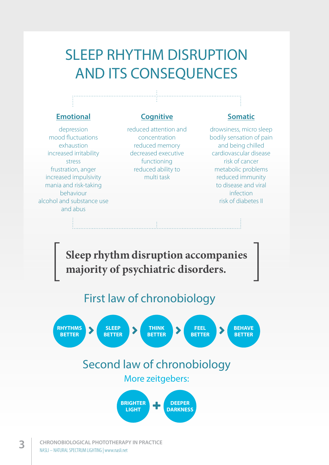# SLEEP RHYTHM DISRUPTION AND ITS CONSEQUENCES

#### **Emotional**

### **Cognitive**

depression mood fluctuations exhaustion increased irritability stress frustration, anger increased impulsivity mania and risk-taking behaviour alcohol and substance use and abus

reduced attention and concentration reduced memory decreased executive functioning reduced ability to multi task

#### **Somatic**

drowsiness, micro sleep bodily sensation of pain and being chilled cardiovascular disease risk of cancer metabolic problems reduced immunity to disease and viral infection risk of diabetes II

**Sleep rhythm disruption accompanies majority of psychiatric disorders.**

First law of chronobiology

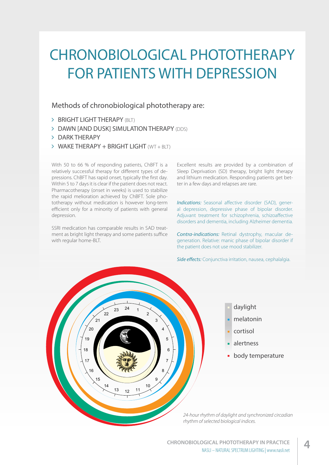# CHRONOBIOLOGICAL PHOTOTHERAPY FOR PATIENTS WITH DEPRESSION

#### Methods of chronobiological phototherapy are:

- > BRIGHT LIGHT THERAPY (BLT)
- > DAWN [AND DUSK] SIMULATION THERAPY (DDS)
- > DARK THERAPY
- WAKE THERAPY + BRIGHT LIGHT (WT + BLT)

With 50 to 66 % of responding patients, ChBFT is a relatively successful therapy for different types of depressions. ChBFT has rapid onset, typically the first day. Within 5 to 7 days it is clear if the patient does not react. Pharmacotherapy (onset in weeks) is used to stabilize the rapid melioration achieved by ChBFT. Sole phototherapy without medication is however long-term efficient only for a minority of patients with general depression.

SSRI medication has comparable results in SAD treatment as bright light therapy and some patients suffice with regular home-BLT.

Excellent results are provided by a combination of Sleep Deprivation (SD) therapy, bright light therapy and lithium medication. Responding patients get better in a few days and relapses are rare.

*Indications:* Seasonal affective disorder (SAD), general depression, depressive phase of bipolar disorder. Adjuvant treatment for schizophrenia, schizoaffective disorders and dementia, including Alzheimer dementia.

*Contra-indications:* Retinal dystrophy, macular degeneration. Relative: manic phase of bipolar disorder if the patient does not use mood stabilizer.

*Side effects:* Conjunctiva irritation, nausea, cephalalgia.

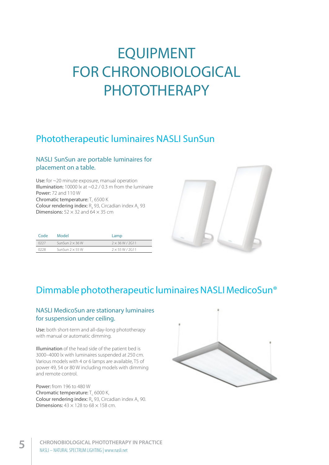# EQUIPMENT FOR CHRONOBIOLOGICAL PHOTOTHERAPY

### Phototherapeutic luminaires NASLI SunSun

#### NASLI SunSun are portable luminaires for placement on a table.

Use: for ~20 minute exposure, manual operation Illumination: 10000 lx at  $\sim$  0.2 / 0.3 m from the luminaire Power: 72 and 110 W Chromatic temperature:  $T_c$  6500 K

**Colour rendering index:**  $R_a$  93, Circadian index  $A_c$  93 **Dimensions:**  $52 \times 32$  and  $64 \times 35$  cm

| Code | Model                  | Lamp                   |  |
|------|------------------------|------------------------|--|
| 0227 | SunSun $2 \times 36$ W | $2 \times 36 W / 2G11$ |  |
| 0228 | SunSun $2 \times 55$ W | $2 \times 55 W / 2G11$ |  |



### Dimmable phototherapeutic luminaires NASLI MedicoSun®

#### NASLI MedicoSun are stationary luminaires for suspension under ceiling.

Use: both short-term and all-day-long phototherapy with manual or automatic dimming.

Illumination of the head side of the patient bed is 3000–4000 lx with luminaires suspended at 250 cm. Various models with 4 or 6 lamps are available, T5 of power 49, 54 or 80 W including models with dimming and remote control.

Power: from 196 to 480 W Chromatic temperature: T<sub>c</sub> 6000 K, Colour rendering index:  $R_a$ , 93, Circadian index  $A_c$ , 90. Dimensions:  $43 \times 128$  to  $68 \times 158$  cm.

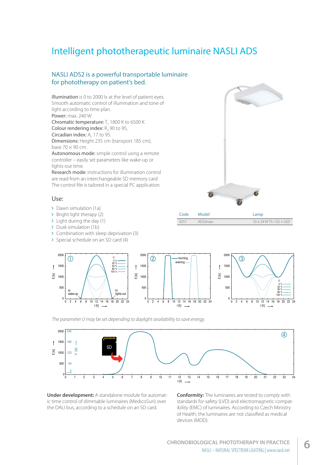### Intelligent phototherapeutic luminaire NASLI ADS

#### NASLI ADS2 is a powerful transportable luminaire for phototherapy on patient's bed.

Illumination is 0 to 2000 lx at the level of patient eyes. Smooth automatic control of illumination and tone of light according to time plan. Power: max. 240 W Chromatic temperature: T<sub>c</sub> 1800 K to 6500 K Colour rendering index:  $R_a$  90 to 95, Circadian index: A<sub>c</sub> 17 to 95. Dimensions: Height 235 cm (transport 185 cm), base  $70 \times 90$  cm.

Autonomous mode: simple control using a remote controller – easily set parameters like wake-up or lights-out time.

Research mode: instructions for illumination control are read from an interchangeable SD memory card. The control file is tailored in a special PC application.

#### Use:

- Dawn simulation (1a)
- > Bright light therapy (2)
- > Light during the day (1)
- > Dusk simulation (1b)
- Combination with sleep deprivation (3)
- > Special schedule on an SD card (4)



| ---- | 111221       | $-$ u $+$                      |
|------|--------------|--------------------------------|
|      | 0257 ADS2max | $10 \times 24$ W T5 / G5 + LED |
|      |              |                                |



*The parameter U may be set depending to daylight availability to save energy.*



**Under development:** A standalone module for automatic time control of dimmable luminaires (MedicoSun) over the DALI bus, according to a schedule on an SD card.

**Conformity:** The luminaires are tested to comply with standards for safety (LVD) and electromagnetic compatibility (EMC) of luminaires. According to Czech Ministry of Health, the luminaires are not classified as medical devices (MDD).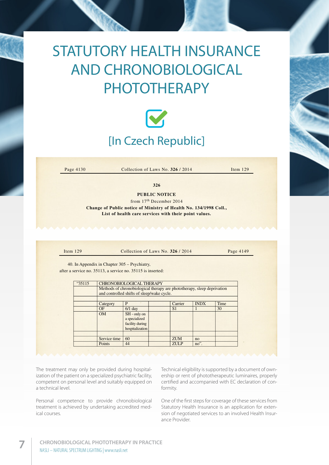# STATUTORY HEALTH INSURANCE AND CHRONOBIOLOGICAL PHOTOTHERAPY



Page 4130 **Collection of Laws No. 326** / 2014 Item 129

**326**

**PUBLIC NOTICE**

from 17th December 2014 **Change of Public notice of Ministry of Health No. 134/1998 Coll., List of health care services with their point values.**

Item 129 Collection of Laws No. **326** / 2014 Page 4149

after a service no. 35113, a service no. 35115 is inserted: 40. In Appendix in Chapter 305 – Psychiatry, 40. In Appendix in Chapter 305 – Psychiatry,

| "35115 | <b>CHRONOBIOLOGICAL THERAPY</b>                                                                                       |                                                                       |  |                |                |      |  |  |
|--------|-----------------------------------------------------------------------------------------------------------------------|-----------------------------------------------------------------------|--|----------------|----------------|------|--|--|
|        | Methods of chronobiological therapy are phototherapy, sleep deprivation<br>and controlled shifts of sleep/wake cycle. |                                                                       |  |                |                |      |  |  |
|        |                                                                                                                       |                                                                       |  |                |                |      |  |  |
|        | Category                                                                                                              | P                                                                     |  | Carrier        | <b>INDX</b>    | Time |  |  |
|        | OF                                                                                                                    | $6/1$ day                                                             |  | S <sub>1</sub> |                | 30   |  |  |
|        | <b>OM</b>                                                                                                             | $SH$ - only on<br>a specialized<br>facility during<br>hospitalization |  |                |                |      |  |  |
|        |                                                                                                                       |                                                                       |  |                |                |      |  |  |
|        | Service time                                                                                                          | 60                                                                    |  | <b>ZUM</b>     | n <sub>O</sub> |      |  |  |
|        | Points                                                                                                                | 44                                                                    |  | <b>ZULP</b>    | no".           |      |  |  |

The treatment may only be provided during hospitalization of the patient on a specialized psychiatric facility, e competent on personal level and suitably equipped on comp a technical level. and controlled shifts of sleeping  $\alpha$ 

Personal competence to provide chronobiological treatment is achieved by undertaking accredited med-<br>ical courses ical courses.

Technical eligibility is supported by a document of ownership or rent of phototherapeutic luminaires, properly and suitably equipped on certified and accompanied with EC declaration of con-<br>formits formity.

rovide chronobiological One of the first steps for coverage of these services from ertaking accredited med-<br>Statutory Health Insurance is an application for extension of negotiated services to an involved Health Insurance Provider.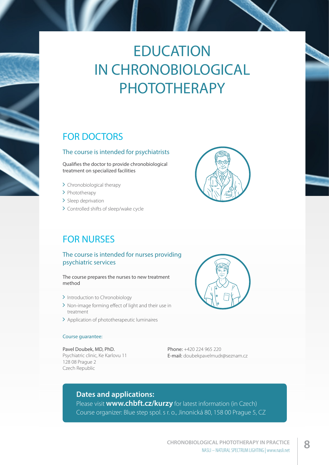# **EDUCATION** IN CHRONOBIOLOGICAL PHOTOTHERAPY

### FOR DOCTORS

#### The course is intended for psychiatrists

Qualifies the doctor to provide chronobiological treatment on specialized facilities

- > Chronobiological therapy
- > Phototherapy
- > Sleep deprivation
- > Controlled shifts of sleep/wake cycle

### FOR NURSES

#### The course is intended for nurses providing psychiatric services

The course prepares the nurses to new treatment method

- > Introduction to Chronobiology
- > Non-image forming effect of light and their use in treatment
- > Application of phototherapeutic luminaires

#### Course quarantee:

Pavel Doubek, MD, PhD.

Psychiatric clinic, Ke Karlovu 11 128 08 Prague 2 Czech Republic



Phone: +420 224 965 220 E-mail: doubekpavelmudr@seznam.cz

#### **Dates and applications:**

Please visit **www.chbft.cz/kurzy** for latest information (in Czech) Course organizer: Blue step spol. s r. o., Jinonická 80, 158 00 Prague 5, CZ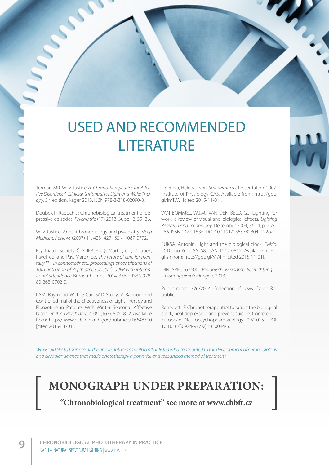# USED AND RECOMMENDED **LITERATURE**

Terman MR, Wirz-Justice *A. Chronotherapeutics for Affective Disorders: A Clinician's Manual for Light and Wake Therapy.* 2nd edition, Kager 2013. ISBN 978-3-318-02090-8.

Doubek P., Raboch J.: Chronobiological treatment of depressive episodes. *Psychiatrie* (17) 2013, Suppl. 2, 35–36.

Wirz-Justice, Anna. Chronobiology and psychiatry. *Sleep Medicine Reviews* (2007) 11, 423–427. ISSN: 1087-0792.

Psychiatric society ČLS JEP. Hollý, Martin, ed., Doubek, Pavel, ed. and Páv, Marek, ed. *The future of care for mentally ill – in connectedness.: proceedings of contributions of 10th gathering of Psychiatric society ČLS JEP with international attendance.* Brno: Tribun EU, 2014. 356 p. ISBN 978- 80-263-0702-0.

LAM, Raymond W. The Can-SAD Study: A Randomized Controlled Trial of the Effectiveness of Light Therapy and Fluoxetine in Patients With Winter Seasonal Affective Disorder. *Am J Psychiatry.* 2006, (163): 805–812. Available from: http://www.ncbi.nlm.nih.gov/pubmed/16648320 [cited 2015-11-01].

Illnerová, Helena. *Inner time within us.* Presentation. 2007. Institute of Physiology CAS. Available from: http://goo. gl/imTJWI [cited 2015-11-01].

VAN BOMMEL, W.J.M.; VAN DEN BELD, G.J. Lighting for work: a review of visual and biological effects. *Lighting Research and Technology.* December 2004, 36 , 4, p. 255– 266. ISSN 1477-1535. DOI:10.1191/1365782804li122oa.

FUKSA, Antonín. Light and the biological clock. *Světlo.*  2010, no. 6, p. 56–58. ISSN 1212-0812. Available in English from: http://goo.gl/VrAfIF [cited 2015-11-01].

DIN SPEC 67600. *Biologisch wirksame Beleuchtung – – Planungsempfehlungen*, 2013.

Public notice 326/2014, Collection of Laws, Czech Republic.

Benedetti, F. Chronotherapeutics to target the biological clock, heal depression and prevent suicide. Conference: European Neuropsychopharmacology 09/2015. DOI: 10.1016/S0924-977X(15)30084-5.

*We would like to thank to all the above authors as well to all unlisted who contributed to the development of chronobiology and circadian science that made phototherapy a powerful and recognized method of treatment.*

### **MONOGRAPH UNDER PREPARATION:**

**"Chronobiological treatment" see more at www.chbft.cz**

Marian Carpenter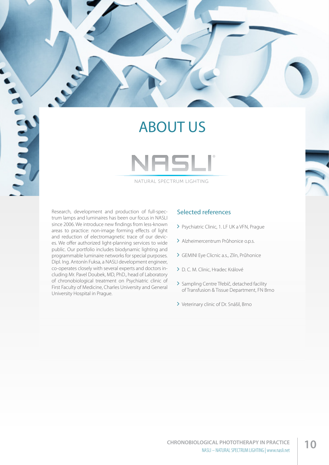### ABOUT US



NATURAL SPECTRUM LIGHTING

Research, development and production of full-spectrum lamps and luminaires has been our focus in NASLI since 2006. We introduce new findings from less-known areas to practice: non-image forming effects of light and reduction of electromagnetic trace of our devices. We offer authorized light-planning services to wide public. Our portfolio includes biodynamic lighting and programmable luminaire networks for special purposes. Dipl. Ing. Antonín Fuksa, a NASLI development engineer, co-operates closely with several experts and doctors including Mr. Pavel Doubek, MD, PhD., head of Laboratory of chronobiological treatment on Psychiatric clinic of First Faculty of Medicine, Charles University and General University Hospital in Prague.

**RANKA** 

#### Selected references

- > Psychiatric Clinic, 1. LF UK a VFN, Prague
- Alzheimercentrum Průhonice o.p.s.
- GEMINI Eye Clicnic a.s., Zlín, Průhonice
- D. C. M. Clinic, Hradec Králové
- > Sampling Centre Třebíč, detached facility of Transfusion & Tissue Department, FN Brno
- Veterinary clinic of Dr. Snášil, Brno